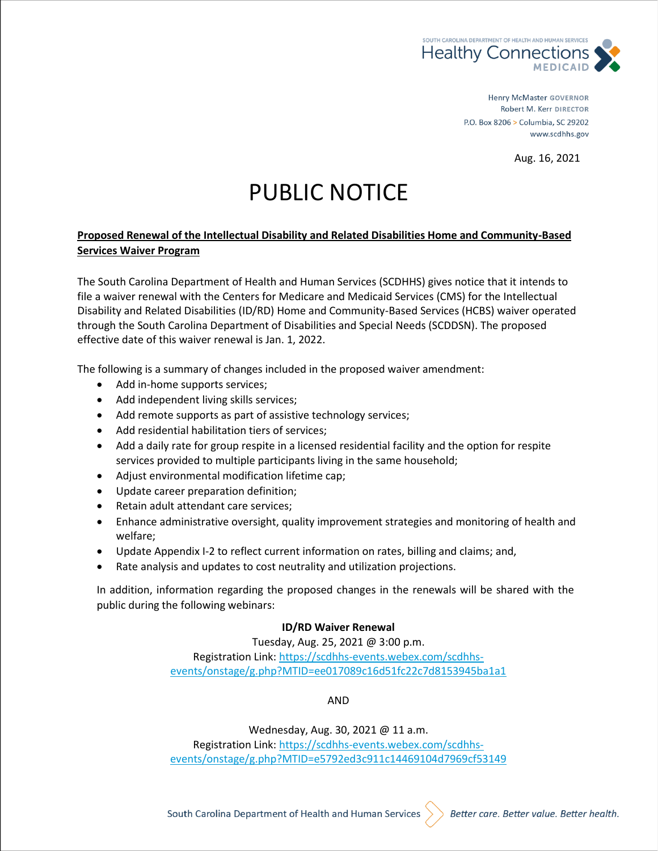

**Henry McMaster GOVERNOR** Robert M. Kerr DIRECTOR P.O. Box 8206 > Columbia, SC 29202 www.scdhhs.gov

Aug. 16, 2021

# PUBLIC NOTICE

### **Proposed Renewal of the Intellectual Disability and Related Disabilities Home and Community-Based Services Waiver Program**

The South Carolina Department of Health and Human Services (SCDHHS) gives notice that it intends to file a waiver renewal with the Centers for Medicare and Medicaid Services (CMS) for the Intellectual Disability and Related Disabilities (ID/RD) Home and Community-Based Services (HCBS) waiver operated through the South Carolina Department of Disabilities and Special Needs (SCDDSN). The proposed effective date of this waiver renewal is Jan. 1, 2022.

The following is a summary of changes included in the proposed waiver amendment:

- Add in-home supports services;
- Add independent living skills services;
- Add remote supports as part of assistive technology services;
- Add residential habilitation tiers of services;
- Add a daily rate for group respite in a licensed residential facility and the option for respite services provided to multiple participants living in the same household;
- Adjust environmental modification lifetime cap;
- Update career preparation definition;
- Retain adult attendant care services;
- Enhance administrative oversight, quality improvement strategies and monitoring of health and welfare;
- Update Appendix I-2 to reflect current information on rates, billing and claims; and,
- Rate analysis and updates to cost neutrality and utilization projections.

In addition, information regarding the proposed changes in the renewals will be shared with the public during the following webinars:

#### **ID/RD Waiver Renewal**

Tuesday, Aug. 25, 2021 @ 3:00 p.m. Registration Link: [https://scdhhs-events.webex.com/scdhhs](https://gcc02.safelinks.protection.outlook.com/?url=https%3A%2F%2Fscdhhs-events.webex.com%2Fscdhhs-events%2Fonstage%2Fg.php%3FMTID%3Dee017089c16d51fc22c7d8153945ba1a1&data=04%7C01%7CColleen.Mullis%40scdhhs.gov%7Cd4ca113e15c44b36257208d95cc16aef%7C4584344887c24911a7e21079f0f4aac3%7C0%7C0%7C637642808053648113%7CUnknown%7CTWFpbGZsb3d8eyJWIjoiMC4wLjAwMDAiLCJQIjoiV2luMzIiLCJBTiI6Ik1haWwiLCJXVCI6Mn0%3D%7C1000&sdata=Y3c0oQUGCkWAGcjl28xAA1oUr0RtcYb%2B5pU3LR%2BCQCU%3D&reserved=0)[events/onstage/g.php?MTID=ee017089c16d51fc22c7d8153945ba1a1](https://gcc02.safelinks.protection.outlook.com/?url=https%3A%2F%2Fscdhhs-events.webex.com%2Fscdhhs-events%2Fonstage%2Fg.php%3FMTID%3Dee017089c16d51fc22c7d8153945ba1a1&data=04%7C01%7CColleen.Mullis%40scdhhs.gov%7Cd4ca113e15c44b36257208d95cc16aef%7C4584344887c24911a7e21079f0f4aac3%7C0%7C0%7C637642808053648113%7CUnknown%7CTWFpbGZsb3d8eyJWIjoiMC4wLjAwMDAiLCJQIjoiV2luMzIiLCJBTiI6Ik1haWwiLCJXVCI6Mn0%3D%7C1000&sdata=Y3c0oQUGCkWAGcjl28xAA1oUr0RtcYb%2B5pU3LR%2BCQCU%3D&reserved=0)

AND

Wednesday, Aug. 30, 2021 @ 11 a.m. Registration Link: [https://scdhhs-events.webex.com/scdhhs](https://gcc02.safelinks.protection.outlook.com/?url=https%3A%2F%2Fscdhhs-events.webex.com%2Fscdhhs-events%2Fonstage%2Fg.php%3FMTID%3De5792ed3c911c14469104d7969cf53149&data=04%7C01%7CColleen.Mullis%40scdhhs.gov%7Cd4ca113e15c44b36257208d95cc16aef%7C4584344887c24911a7e21079f0f4aac3%7C0%7C0%7C637642808053658051%7CUnknown%7CTWFpbGZsb3d8eyJWIjoiMC4wLjAwMDAiLCJQIjoiV2luMzIiLCJBTiI6Ik1haWwiLCJXVCI6Mn0%3D%7C1000&sdata=s8LfIc2h8BXQJD9XajEchuRCn5hccaBh0uvTtm7FN1U%3D&reserved=0)[events/onstage/g.php?MTID=e5792ed3c911c14469104d7969cf53149](https://gcc02.safelinks.protection.outlook.com/?url=https%3A%2F%2Fscdhhs-events.webex.com%2Fscdhhs-events%2Fonstage%2Fg.php%3FMTID%3De5792ed3c911c14469104d7969cf53149&data=04%7C01%7CColleen.Mullis%40scdhhs.gov%7Cd4ca113e15c44b36257208d95cc16aef%7C4584344887c24911a7e21079f0f4aac3%7C0%7C0%7C637642808053658051%7CUnknown%7CTWFpbGZsb3d8eyJWIjoiMC4wLjAwMDAiLCJQIjoiV2luMzIiLCJBTiI6Ik1haWwiLCJXVCI6Mn0%3D%7C1000&sdata=s8LfIc2h8BXQJD9XajEchuRCn5hccaBh0uvTtm7FN1U%3D&reserved=0)

South Carolina Department of Health and Human Services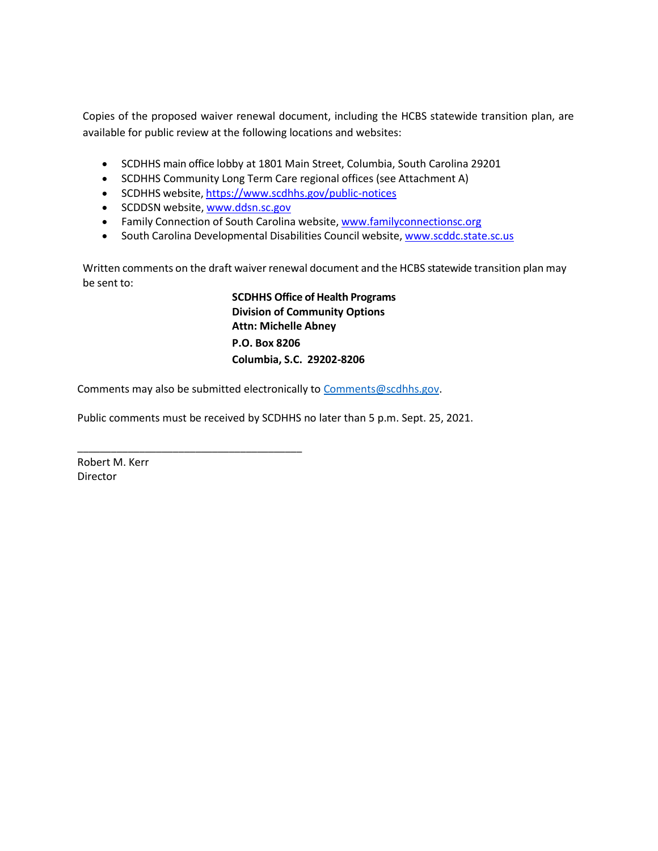Copies of the proposed waiver renewal document, including the HCBS statewide transition plan, are available for public review at the following locations and websites:

- SCDHHS main office lobby at 1801 Main Street, Columbia, South Carolina 29201
- SCDHHS Community Long Term Care regional offices (see Attachment A)
- SCDHHS website, <https://www.scdhhs.gov/public-notices>
- SCDDSN website, [www.ddsn.sc.gov](https://www.ddsn.sc.gov/)

\_\_\_\_\_\_\_\_\_\_\_\_\_\_\_\_\_\_\_\_\_\_\_\_\_\_\_\_\_\_\_\_\_\_\_\_\_\_\_\_

- Family Connection of South Carolina website, [www.familyconnectionsc.org](https://www.familyconnectionsc.org/)
- South Carolina Developmental Disabilities Council website, [www.scddc.state.sc.us](https://www.scddc.state.sc.us/)

Written comments on the draft waiver renewal document and the HCBS statewide transition plan may be sent to:

> **SCDHHS Office of Health Programs Division of Community Options Attn: Michelle Abney P.O. Box 8206 Columbia, S.C. 29202-8206**

Comments may also be submitted electronically to [Comments@scdhhs.gov.](mailto:Comments@scdhhs.gov)

Public comments must be received by SCDHHS no later than 5 p.m. Sept. 25, 2021.

Robert M. Kerr Director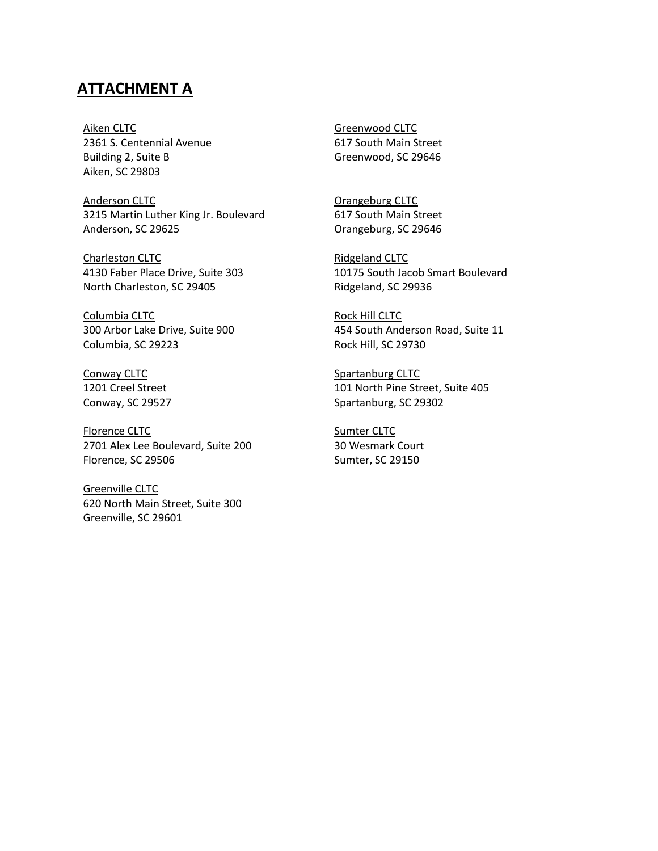## **ATTACHMENT A**

Aiken CLTC 2361 S. Centennial Avenue Building 2, Suite B Aiken, SC 29803

Anderson CLTC 3215 Martin Luther King Jr. Boulevard Anderson, SC 29625

Charleston CLTC 4130 Faber Place Drive, Suite 303 North Charleston, SC 29405

Columbia CLTC 300 Arbor Lake Drive, Suite 900 Columbia, SC 29223

Conway CLTC 1201 Creel Street Conway, SC 29527

Florence CLTC 2701 Alex Lee Boulevard, Suite 200 Florence, SC 29506

Greenville CLTC 620 North Main Street, Suite 300 Greenville, SC 29601

Greenwood CLTC 617 South Main Street Greenwood, SC 29646

Orangeburg CLTC 617 South Main Street Orangeburg, SC 29646

Ridgeland CLTC 10175 South Jacob Smart Boulevard Ridgeland, SC 29936

Rock Hill CLTC 454 South Anderson Road, Suite 11 Rock Hill, SC 29730

Spartanburg CLTC 101 North Pine Street, Suite 405 Spartanburg, SC 29302

Sumter CLTC 30 Wesmark Court Sumter, SC 29150